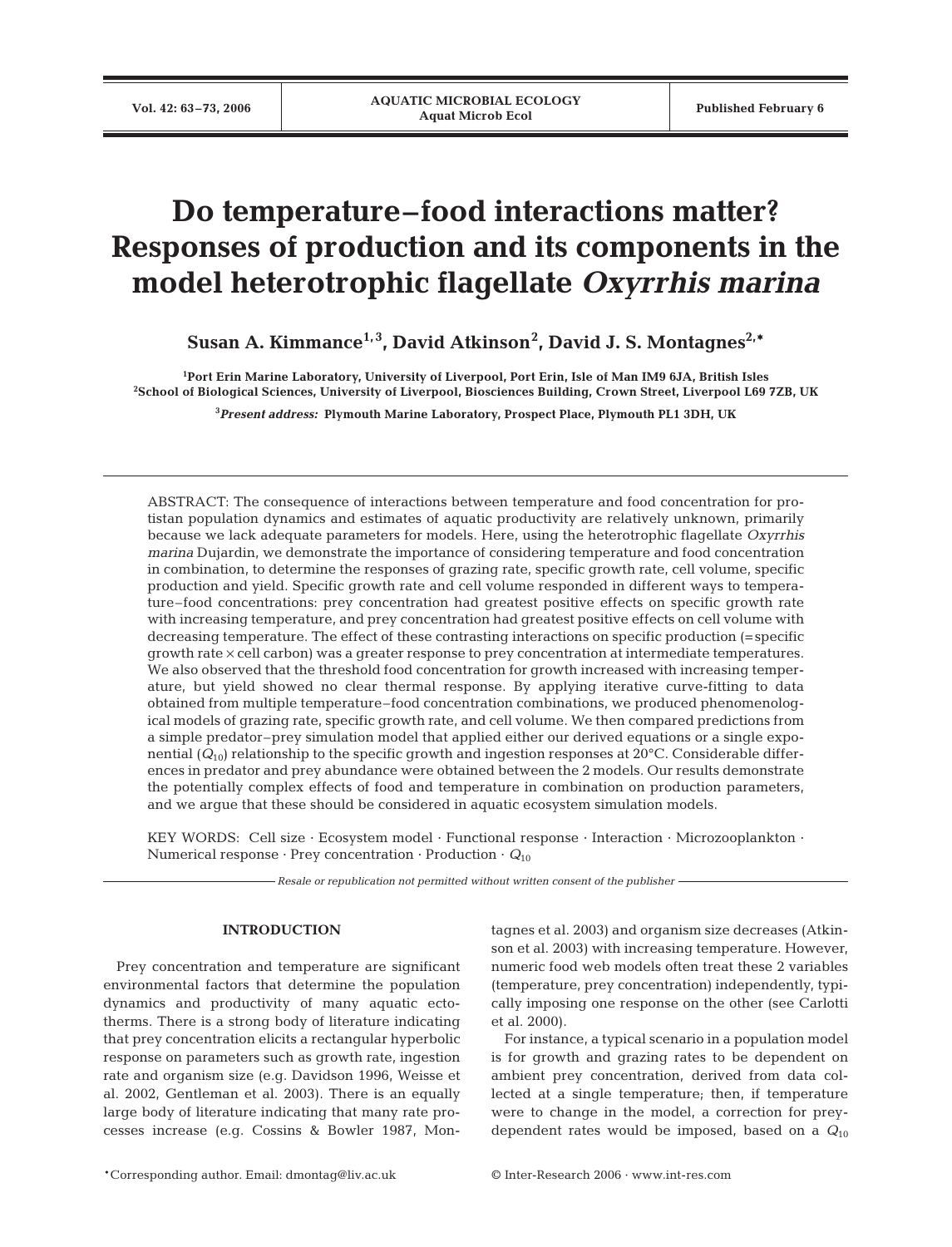# **Do temperature–food interactions matter? Responses of production and its components in the model heterotrophic flagellate** *Oxyrrhis marina*

**Susan A. Kimmance1, 3, David Atkinson2 , David J. S. Montagnes2,\***

**1 Port Erin Marine Laboratory, University of Liverpool, Port Erin, Isle of Man IM9 6JA, British Isles 2 School of Biological Sciences, University of Liverpool, Biosciences Building, Crown Street, Liverpool L69 7ZB, UK**

**3** *Present address:* **Plymouth Marine Laboratory, Prospect Place, Plymouth PL1 3DH, UK**

ABSTRACT: The consequence of interactions between temperature and food concentration for protistan population dynamics and estimates of aquatic productivity are relatively unknown, primarily because we lack adequate parameters for models. Here, using the heterotrophic flagellate *Oxyrrhis marina* Dujardin, we demonstrate the importance of considering temperature and food concentration in combination, to determine the responses of grazing rate, specific growth rate, cell volume, specific production and yield. Specific growth rate and cell volume responded in different ways to temperature–food concentrations: prey concentration had greatest positive effects on specific growth rate with increasing temperature, and prey concentration had greatest positive effects on cell volume with decreasing temperature. The effect of these contrasting interactions on specific production (=specific growth rate × cell carbon) was a greater response to prey concentration at intermediate temperatures. We also observed that the threshold food concentration for growth increased with increasing temperature, but yield showed no clear thermal response. By applying iterative curve-fitting to data obtained from multiple temperature–food concentration combinations, we produced phenomenological models of grazing rate, specific growth rate, and cell volume. We then compared predictions from a simple predator–prey simulation model that applied either our derived equations or a single exponential  $(Q_{10})$  relationship to the specific growth and ingestion responses at 20 $^{\circ}$ C. Considerable differences in predator and prey abundance were obtained between the 2 models. Our results demonstrate the potentially complex effects of food and temperature in combination on production parameters, and we argue that these should be considered in aquatic ecosystem simulation models.

KEY WORDS: Cell size · Ecosystem model · Functional response · Interaction · Microzooplankton · Numerical response  $\cdot$  Prey concentration  $\cdot$  Production  $\cdot$   $Q_{10}$ 

*Resale or republication not permitted without written consent of the publisher*

# **INTRODUCTION**

Prey concentration and temperature are significant environmental factors that determine the population dynamics and productivity of many aquatic ectotherms. There is a strong body of literature indicating that prey concentration elicits a rectangular hyperbolic response on parameters such as growth rate, ingestion rate and organism size (e.g. Davidson 1996, Weisse et al. 2002, Gentleman et al. 2003). There is an equally large body of literature indicating that many rate processes increase (e.g. Cossins & Bowler 1987, Mon-

tagnes et al. 2003) and organism size decreases (Atkinson et al. 2003) with increasing temperature. However, numeric food web models often treat these 2 variables (temperature, prey concentration) independently, typically imposing one response on the other (see Carlotti et al. 2000).

For instance, a typical scenario in a population model is for growth and grazing rates to be dependent on ambient prey concentration, derived from data collected at a single temperature; then, if temperature were to change in the model, a correction for preydependent rates would be imposed, based on a *Q*<sup>10</sup>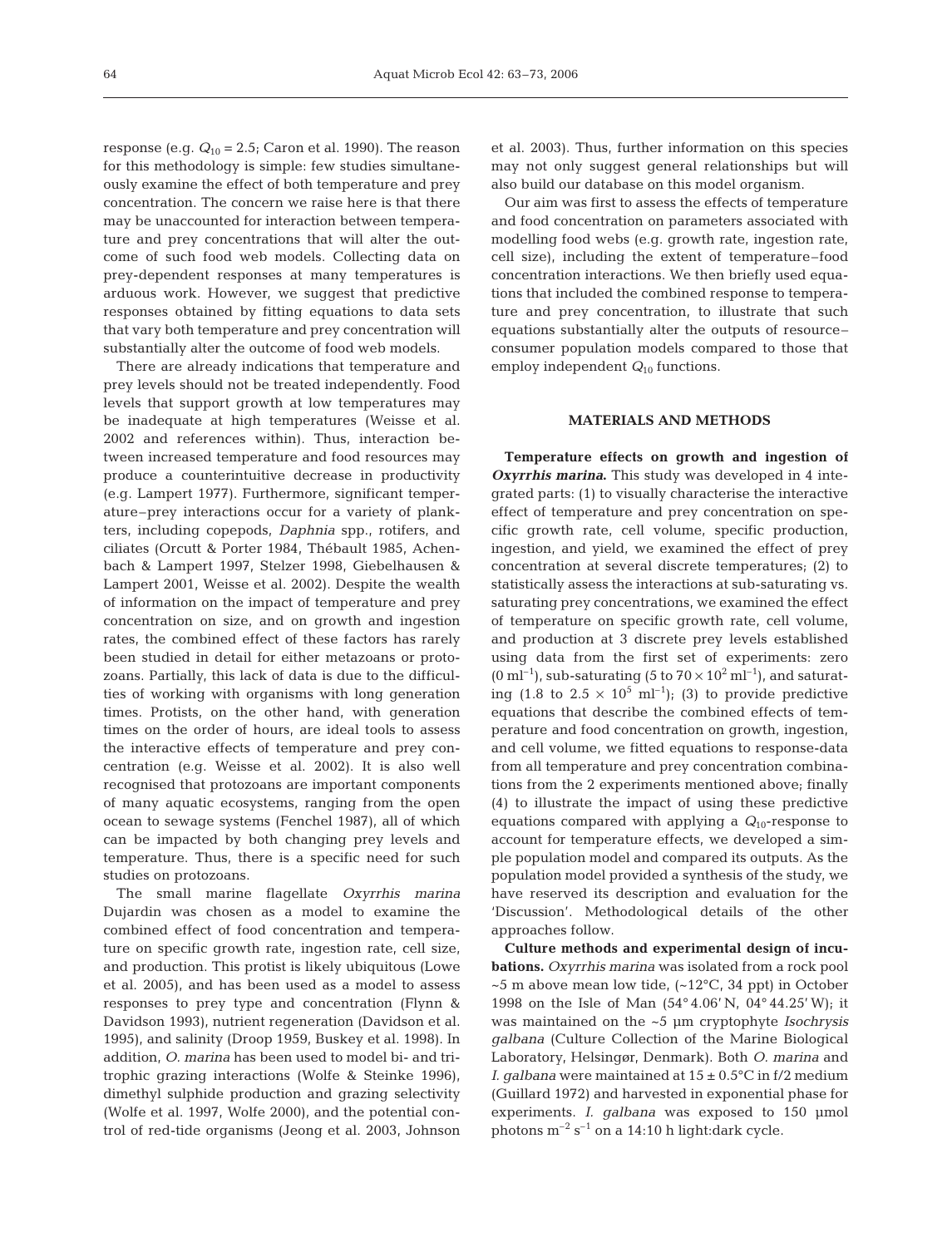response (e.g.  $Q_{10} = 2.5$ ; Caron et al. 1990). The reason for this methodology is simple: few studies simultaneously examine the effect of both temperature and prey concentration. The concern we raise here is that there may be unaccounted for interaction between temperature and prey concentrations that will alter the outcome of such food web models. Collecting data on prey-dependent responses at many temperatures is arduous work. However, we suggest that predictive responses obtained by fitting equations to data sets that vary both temperature and prey concentration will substantially alter the outcome of food web models.

There are already indications that temperature and prey levels should not be treated independently. Food levels that support growth at low temperatures may be inadequate at high temperatures (Weisse et al. 2002 and references within). Thus, interaction between increased temperature and food resources may produce a counterintuitive decrease in productivity (e.g. Lampert 1977). Furthermore, significant temperature–prey interactions occur for a variety of plankters, including copepods, *Daphnia* spp., rotifers, and ciliates (Orcutt & Porter 1984, Thébault 1985, Achenbach & Lampert 1997, Stelzer 1998, Giebelhausen & Lampert 2001, Weisse et al. 2002). Despite the wealth of information on the impact of temperature and prey concentration on size, and on growth and ingestion rates, the combined effect of these factors has rarely been studied in detail for either metazoans or protozoans. Partially, this lack of data is due to the difficulties of working with organisms with long generation times. Protists, on the other hand, with generation times on the order of hours, are ideal tools to assess the interactive effects of temperature and prey concentration (e.g. Weisse et al. 2002). It is also well recognised that protozoans are important components of many aquatic ecosystems, ranging from the open ocean to sewage systems (Fenchel 1987), all of which can be impacted by both changing prey levels and temperature. Thus, there is a specific need for such studies on protozoans.

The small marine flagellate *Oxyrrhis marina* Dujardin was chosen as a model to examine the combined effect of food concentration and temperature on specific growth rate, ingestion rate, cell size, and production. This protist is likely ubiquitous (Lowe et al. 2005), and has been used as a model to assess responses to prey type and concentration (Flynn & Davidson 1993), nutrient regeneration (Davidson et al. 1995), and salinity (Droop 1959, Buskey et al. 1998). In addition, *O. marina* has been used to model bi- and tritrophic grazing interactions (Wolfe & Steinke 1996), dimethyl sulphide production and grazing selectivity (Wolfe et al. 1997, Wolfe 2000), and the potential control of red-tide organisms (Jeong et al. 2003, Johnson

et al. 2003). Thus, further information on this species may not only suggest general relationships but will also build our database on this model organism.

Our aim was first to assess the effects of temperature and food concentration on parameters associated with modelling food webs (e.g. growth rate, ingestion rate, cell size), including the extent of temperature–food concentration interactions. We then briefly used equations that included the combined response to temperature and prey concentration, to illustrate that such equations substantially alter the outputs of resource– consumer population models compared to those that employ independent  $Q_{10}$  functions.

#### **MATERIALS AND METHODS**

**Temperature effects on growth and ingestion of** *Oxyrrhis marina***.** This study was developed in 4 integrated parts: (1) to visually characterise the interactive effect of temperature and prey concentration on specific growth rate, cell volume, specific production, ingestion, and yield, we examined the effect of prey concentration at several discrete temperatures; (2) to statistically assess the interactions at sub-saturating vs. saturating prey concentrations, we examined the effect of temperature on specific growth rate, cell volume, and production at 3 discrete prey levels established using data from the first set of experiments: zero  $(0 \text{ ml}^{-1})$ , sub-saturating (5 to 70  $\times$  10<sup>2</sup> ml<sup>-1</sup>), and saturating (1.8 to  $2.5 \times 10^5$  ml<sup>-1</sup>); (3) to provide predictive equations that describe the combined effects of temperature and food concentration on growth, ingestion, and cell volume, we fitted equations to response-data from all temperature and prey concentration combinations from the 2 experiments mentioned above; finally (4) to illustrate the impact of using these predictive equations compared with applying a *Q*10-response to account for temperature effects, we developed a simple population model and compared its outputs. As the population model provided a synthesis of the study, we have reserved its description and evaluation for the 'Discussion'. Methodological details of the other approaches follow.

**Culture methods and experimental design of incubations.** *Oxyrrhis marina* was isolated from a rock pool  $\sim$ 5 m above mean low tide, ( $\sim$ 12 $\degree$ C, 34 ppt) in October 1998 on the Isle of Man (54° 4.06' N, 04° 44.25' W); it was maintained on the ~5 µm cryptophyte *Isochrysis galbana* (Culture Collection of the Marine Biological Laboratory, Helsingør, Denmark). Both *O. marina* and *I. galbana* were maintained at  $15 \pm 0.5$ °C in f/2 medium (Guillard 1972) and harvested in exponential phase for experiments. *I. galbana* was exposed to 150 µmol photons  $m^{-2}$  s<sup>-1</sup> on a 14:10 h light:dark cycle.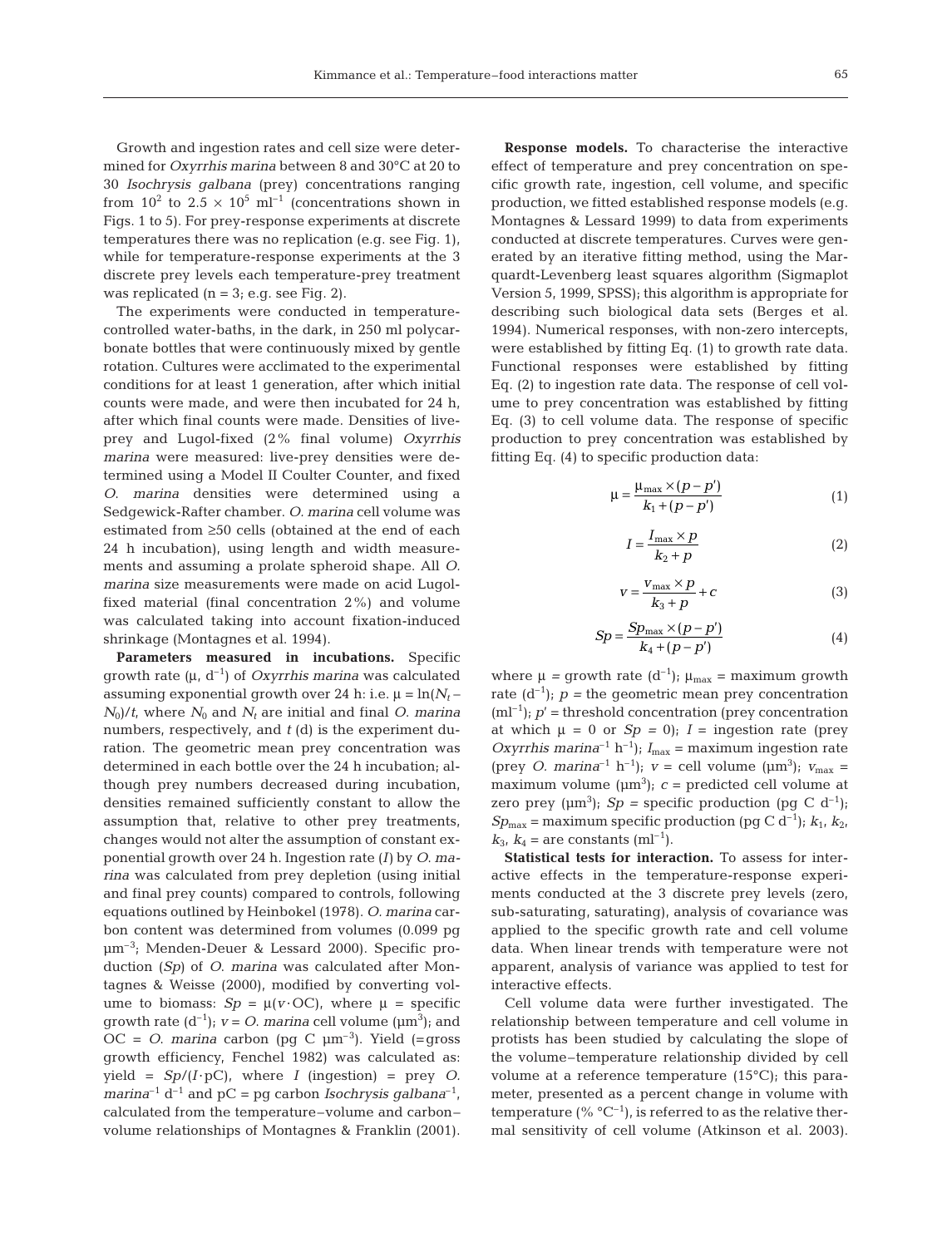Growth and ingestion rates and cell size were determined for *Oxyrrhis marina* between 8 and 30°C at 20 to 30 *Isochrysis galbana* (prey) concentrations ranging from  $10^2$  to  $2.5 \times 10^5$  ml<sup>-1</sup> (concentrations shown in Figs. 1 to 5). For prey-response experiments at discrete temperatures there was no replication (e.g. see Fig. 1), while for temperature-response experiments at the 3 discrete prey levels each temperature-prey treatment was replicated  $(n = 3; e.g.$  see Fig. 2).

The experiments were conducted in temperaturecontrolled water-baths, in the dark, in 250 ml polycarbonate bottles that were continuously mixed by gentle rotation. Cultures were acclimated to the experimental conditions for at least 1 generation, after which initial counts were made, and were then incubated for 24 h, after which final counts were made. Densities of liveprey and Lugol-fixed (2% final volume) *Oxyrrhis marina* were measured: live-prey densities were determined using a Model II Coulter Counter, and fixed *O*. *marina* densities were determined using a Sedgewick-Rafter chamber. *O. marina* cell volume was estimated from ≥50 cells (obtained at the end of each 24 h incubation), using length and width measurements and assuming a prolate spheroid shape. All *O. marina* size measurements were made on acid Lugolfixed material (final concentration 2%) and volume was calculated taking into account fixation-induced shrinkage (Montagnes et al. 1994).

**Parameters measured in incubations.** Specific growth rate (μ, d–1) of *Oxyrrhis marina* was calculated assuming exponential growth over 24 h: i.e.  $\mu = \ln(N_t N_0/t$ , where  $N_0$  and  $N_t$  are initial and final *O*. *marina* numbers, respectively, and *t* (d) is the experiment duration. The geometric mean prey concentration was determined in each bottle over the 24 h incubation; although prey numbers decreased during incubation, densities remained sufficiently constant to allow the assumption that, relative to other prey treatments, changes would not alter the assumption of constant exponential growth over 24 h. Ingestion rate (*I)* by *O*. *marina* was calculated from prey depletion (using initial and final prey counts) compared to controls, following equations outlined by Heinbokel (1978). *O. marina* carbon content was determined from volumes (0.099 pg µm–3; Menden-Deuer & Lessard 2000). Specific production (*Sp)* of *O*. *marina* was calculated after Montagnes & Weisse (2000), modified by converting volume to biomass:  $Sp = \mu(v \cdot OC)$ , where  $\mu$  = specific growth rate  $(d^{-1})$ ;  $v = O$ . *marina* cell volume  $(\mu m^3)$ ; and OC =  $O$ . *marina* carbon (pg C  $\mu$ m<sup>-3</sup>). Yield (=gross growth efficiency, Fenchel 1982) was calculated as:  $yield = Sp/(I \cdot pC)$ , where *I* (ingestion) = prey *O*. *marina*<sup>-1</sup> d<sup>-1</sup> and pC = pg carbon *Isochrysis galbana*<sup>-1</sup>, calculated from the temperature–volume and carbon– volume relationships of Montagnes & Franklin (2001).

**Response models.** To characterise the interactive effect of temperature and prey concentration on specific growth rate, ingestion, cell volume, and specific production, we fitted established response models (e.g. Montagnes & Lessard 1999) to data from experiments conducted at discrete temperatures. Curves were generated by an iterative fitting method, using the Marquardt-Levenberg least squares algorithm (Sigmaplot Version 5, 1999, SPSS); this algorithm is appropriate for describing such biological data sets (Berges et al. 1994). Numerical responses, with non-zero intercepts, were established by fitting Eq. (1) to growth rate data. Functional responses were established by fitting Eq. (2) to ingestion rate data. The response of cell volume to prey concentration was established by fitting Eq. (3) to cell volume data. The response of specific production to prey concentration was established by fitting Eq. (4) to specific production data:

$$
\mu = \frac{\mu_{\text{max}} \times (p - p')}{k_1 + (p - p')} \tag{1}
$$

$$
I = \frac{I_{\text{max}} \times p}{k_2 + p} \tag{2}
$$

$$
v = \frac{v_{\text{max}} \times p}{k_3 + p} + c \tag{3}
$$

$$
Sp = \frac{Sp_{\text{max}} \times (p - p')}{k_4 + (p - p')}
$$
 (4)

where  $\mu$  = growth rate  $(d^{-1})$ ;  $\mu_{max}$  = maximum growth rate  $(d^{-1})$ ;  $p =$  the geometric mean prey concentration  $(ml^{-1})$ ;  $p'$  = threshold concentration (prey concentration at which  $\mu = 0$  or  $Sp = 0$ ;  $I =$  ingestion rate (prey *Oxyrrhis marina*<sup>-1</sup> h<sup>-1</sup>);  $I_{\text{max}}$  = maximum ingestion rate (prey *O. marina*<sup>-1</sup> h<sup>-1</sup>);  $v =$  cell volume ( $\mu$ m<sup>3</sup>);  $v_{\text{max}} =$ maximum volume  $(\mu m^3)$ ;  $c =$  predicted cell volume at zero prey  $(\mu m^3)$ ; *Sp* = specific production (pg C d<sup>-1</sup>);  $Sp_{\text{max}} = \text{maximum specific production (pg C d}^{-1}); k_1, k_2,$  $k_3, k_4$  = are constants (ml<sup>-1</sup>).

**Statistical tests for interaction.** To assess for interactive effects in the temperature-response experiments conducted at the 3 discrete prey levels (zero, sub-saturating, saturating), analysis of covariance was applied to the specific growth rate and cell volume data. When linear trends with temperature were not apparent, analysis of variance was applied to test for interactive effects.

Cell volume data were further investigated. The relationship between temperature and cell volume in protists has been studied by calculating the slope of the volume–temperature relationship divided by cell volume at a reference temperature (15°C); this parameter, presented as a percent change in volume with temperature (%  $^{\circ}C^{-1}$ ), is referred to as the relative thermal sensitivity of cell volume (Atkinson et al. 2003).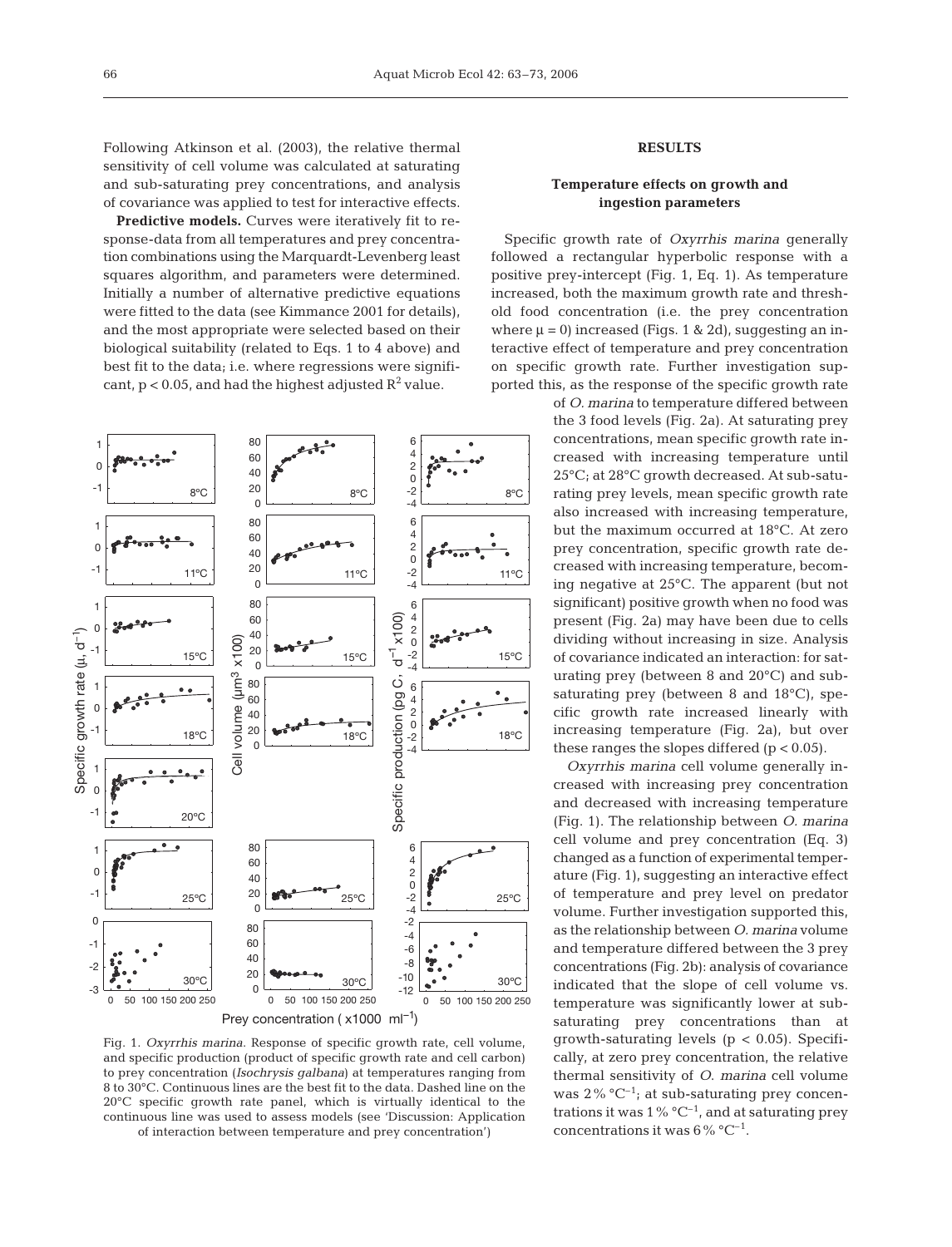Following Atkinson et al. (2003), the relative thermal sensitivity of cell volume was calculated at saturating and sub-saturating prey concentrations, and analysis of covariance was applied to test for interactive effects.

**Predictive models.** Curves were iteratively fit to response-data from all temperatures and prey concentration combinations using the Marquardt-Levenberg least squares algorithm, and parameters were determined. Initially a number of alternative predictive equations were fitted to the data (see Kimmance 2001 for details), and the most appropriate were selected based on their biological suitability (related to Eqs. 1 to 4 above) and best fit to the data; i.e. where regressions were significant,  $p < 0.05$ , and had the highest adjusted  $R^2$  value.



Fig. 1. *Oxyrrhis marina*. Response of specific growth rate, cell volume, and specific production (product of specific growth rate and cell carbon) to prey concentration (*Isochrysis galbana*) at temperatures ranging from 8 to 30°C. Continuous lines are the best fit to the data. Dashed line on the 20°C specific growth rate panel, which is virtually identical to the continuous line was used to assess models (see 'Discussion: Application of interaction between temperature and prey concentration')

## **RESULTS**

## **Temperature effects on growth and ingestion parameters**

Specific growth rate of *Oxyrrhis marina* generally followed a rectangular hyperbolic response with a positive prey-intercept (Fig. 1, Eq. 1). As temperature increased, both the maximum growth rate and threshold food concentration (i.e. the prey concentration where  $\mu = 0$ ) increased (Figs. 1 & 2d), suggesting an interactive effect of temperature and prey concentration on specific growth rate. Further investigation supported this, as the response of the specific growth rate

> of *O. marina* to temperature differed between the 3 food levels (Fig. 2a). At saturating prey concentrations, mean specific growth rate increased with increasing temperature until 25°C; at 28°C growth decreased. At sub-saturating prey levels, mean specific growth rate also increased with increasing temperature, but the maximum occurred at 18°C. At zero prey concentration, specific growth rate decreased with increasing temperature, becoming negative at 25°C. The apparent (but not significant) positive growth when no food was present (Fig. 2a) may have been due to cells dividing without increasing in size. Analysis of covariance indicated an interaction: for saturating prey (between 8 and 20°C) and subsaturating prey (between 8 and 18°C), specific growth rate increased linearly with increasing temperature (Fig. 2a), but over these ranges the slopes differed  $(p < 0.05)$ .

> *Oxyrrhis marina* cell volume generally increased with increasing prey concentration and decreased with increasing temperature (Fig. 1). The relationship between *O. marina* cell volume and prey concentration (Eq. 3) changed as a function of experimental temperature (Fig. 1), suggesting an interactive effect of temperature and prey level on predator volume. Further investigation supported this, as the relationship between *O. marina* volume and temperature differed between the 3 prey concentrations (Fig. 2b): analysis of covariance indicated that the slope of cell volume vs. temperature was significantly lower at subsaturating prey concentrations than at growth-saturating levels ( $p < 0.05$ ). Specifically, at zero prey concentration, the relative thermal sensitivity of *O*. *marina* cell volume was  $2\%$  °C<sup>-1</sup>; at sub-saturating prey concentrations it was  $1\%$  °C<sup>-1</sup>, and at saturating prey concentrations it was  $6\%$  °C<sup>-1</sup>.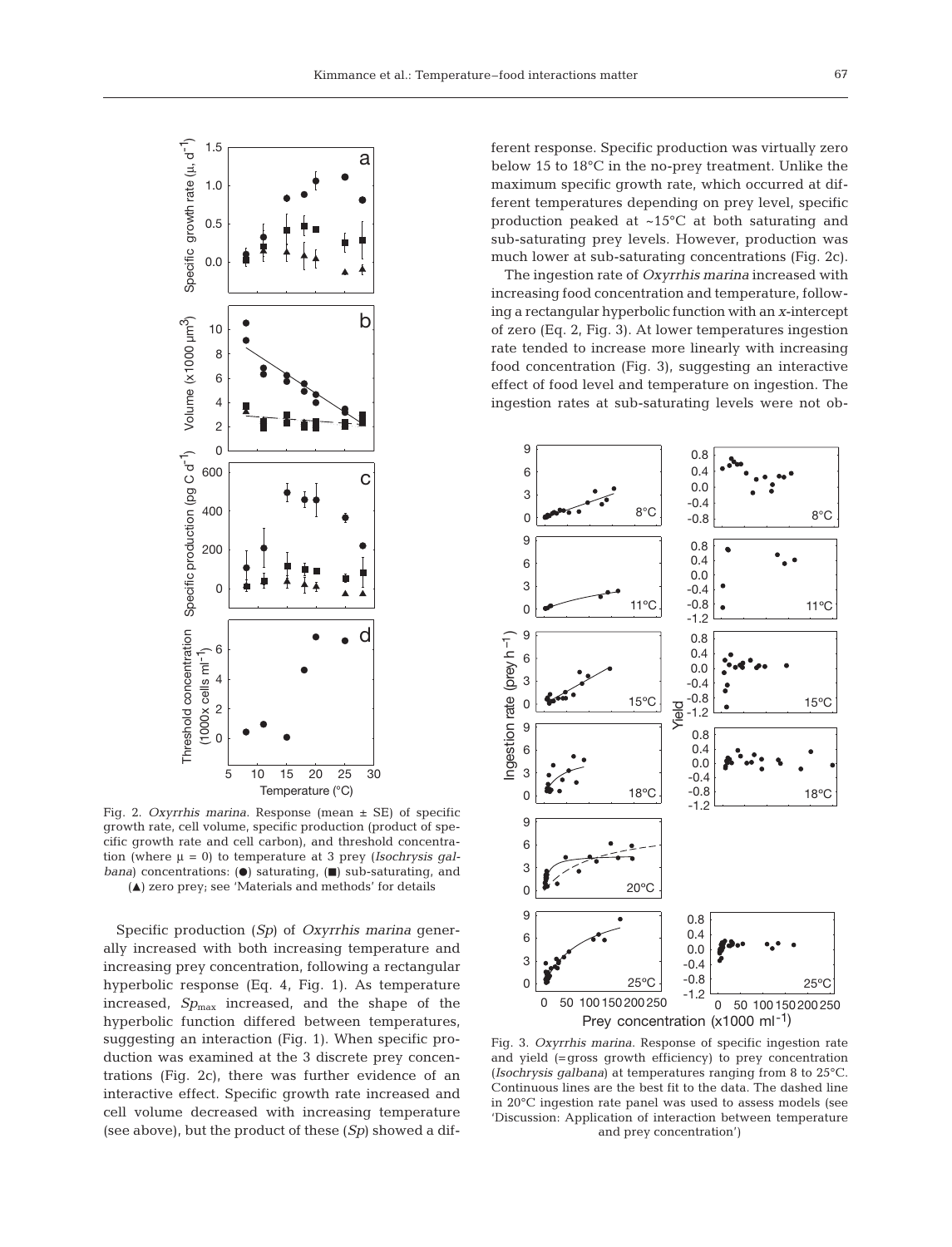

Fig. 2. *Oxyrrhis marina*. Response (mean ± SE) of specific growth rate, cell volume, specific production (product of specific growth rate and cell carbon), and threshold concentration (where μ = 0) to temperature at 3 prey (*Isochrysis galbana*) concentrations: ( $\bullet$ ) saturating, ( $\blacksquare$ ) sub-saturating, and  $(A)$  zero prey; see 'Materials and methods' for details

Specific production (*Sp*) of *Oxyrrhis marina* generally increased with both increasing temperature and increasing prey concentration, following a rectangular hyperbolic response (Eq. 4, Fig. 1). As temperature increased, *Sp*<sub>max</sub> increased, and the shape of the hyperbolic function differed between temperatures, suggesting an interaction (Fig. 1). When specific production was examined at the 3 discrete prey concentrations (Fig. 2c), there was further evidence of an interactive effect. Specific growth rate increased and cell volume decreased with increasing temperature (see above), but the product of these (*Sp*) showed a dif-

ferent response. Specific production was virtually zero below 15 to 18°C in the no-prey treatment. Unlike the maximum specific growth rate, which occurred at different temperatures depending on prey level, specific production peaked at ~15°C at both saturating and sub-saturating prey levels. However, production was much lower at sub-saturating concentrations (Fig. 2c).

The ingestion rate of *Oxyrrhis marina* increased with increasing food concentration and temperature, following a rectangular hyperbolic function with an *x*-intercept of zero (Eq. 2, Fig. 3). At lower temperatures ingestion rate tended to increase more linearly with increasing food concentration (Fig. 3), suggesting an interactive effect of food level and temperature on ingestion. The ingestion rates at sub-saturating levels were not ob-



Fig. 3. *Oxyrrhis marina*. Response of specific ingestion rate and yield (=gross growth efficiency) to prey concentration (*Isochrysis galbana*) at temperatures ranging from 8 to 25°C. Continuous lines are the best fit to the data. The dashed line in 20°C ingestion rate panel was used to assess models (see 'Discussion: Application of interaction between temperature and prey concentration')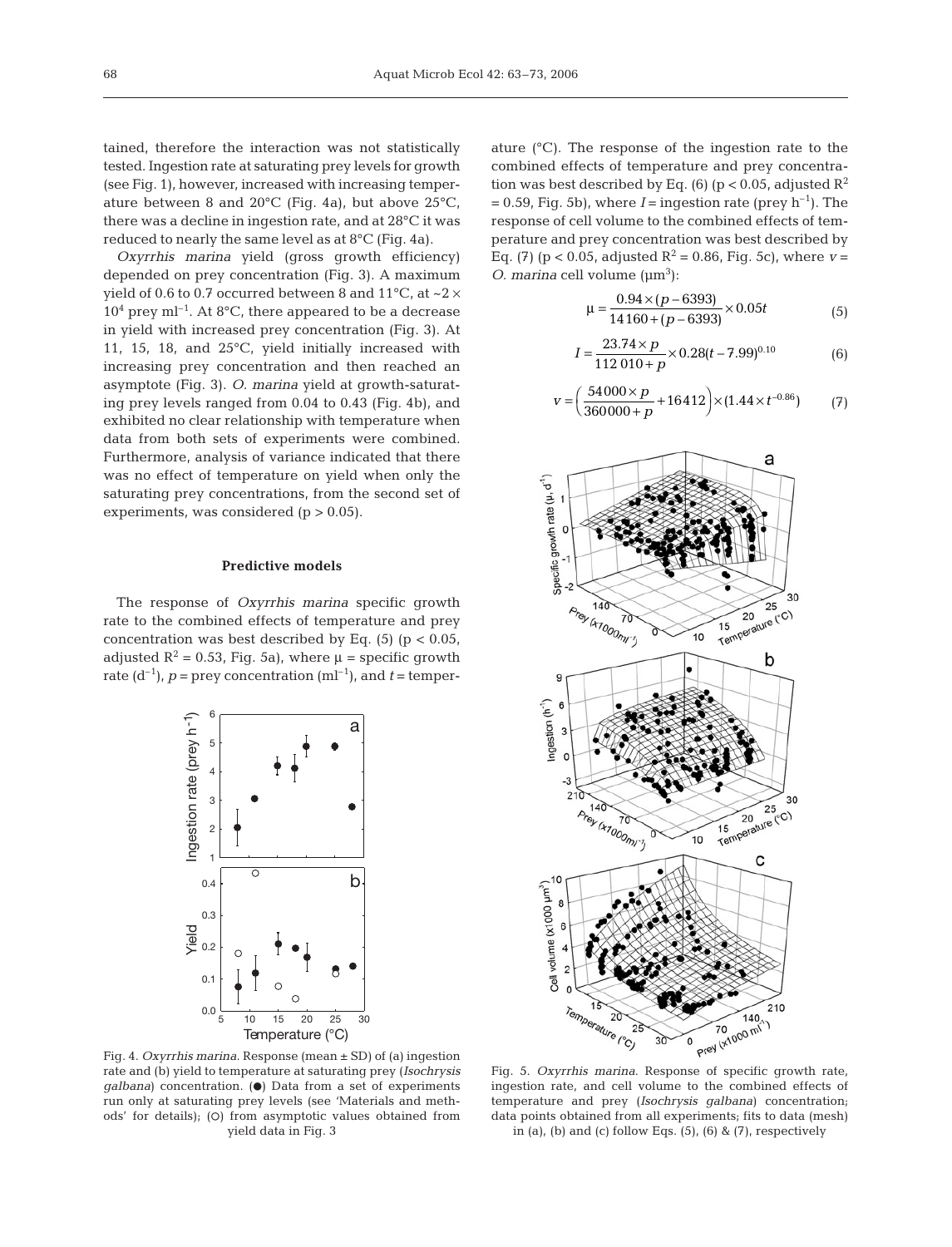tained, therefore the interaction was not statistically tested. Ingestion rate at saturating prey levels for growth (see Fig. 1), however, increased with increasing temperature between 8 and 20°C (Fig. 4a), but above 25°C, there was a decline in ingestion rate, and at 28°C it was reduced to nearly the same level as at 8°C (Fig. 4a).

*Oxyrrhis marina* yield (gross growth efficiency) depended on prey concentration (Fig. 3). A maximum yield of 0.6 to 0.7 occurred between 8 and  $11^{\circ}$ C, at  $\sim$ 2  $\times$  $10<sup>4</sup>$  prey ml<sup>-1</sup>. At 8<sup>o</sup>C, there appeared to be a decrease in yield with increased prey concentration (Fig. 3). At 11, 15, 18, and 25°C, yield initially increased with increasing prey concentration and then reached an asymptote (Fig. 3). *O. marina* yield at growth-saturating prey levels ranged from 0.04 to 0.43 (Fig. 4b), and exhibited no clear relationship with temperature when data from both sets of experiments were combined. Furthermore, analysis of variance indicated that there was no effect of temperature on yield when only the saturating prey concentrations, from the second set of experiments, was considered  $(p > 0.05)$ .

#### **Predictive models**

The response of *Oxyrrhis marina* specific growth rate to the combined effects of temperature and prey concentration was best described by Eq.  $(5)$   $(p < 0.05$ , adjusted  $R^2 = 0.53$ , Fig. 5a), where  $\mu$  = specific growth rate  $(d^{-1})$ ,  $p =$  prey concentration  $(ml^{-1})$ , and  $t =$  temper-



ature (°C). The response of the ingestion rate to the combined effects of temperature and prey concentration was best described by Eq. (6) (p < 0.05, adjusted  $R^2$  $= 0.59$ , Fig. 5b), where *I* = ingestion rate (prey h<sup>-1</sup>). The response of cell volume to the combined effects of temperature and prey concentration was best described by Eq. (7) ( $p < 0.05$ , adjusted  $R^2 = 0.86$ , Fig. 5c), where  $v =$ *O*. *marina* cell volume  $(\mu m^3)$ :

$$
\mu = \frac{0.94 \times (p - 6393)}{14160 + (p - 6393)} \times 0.05t
$$
 (5)

$$
I = \frac{23.74 \times p}{112.010 + p} \times 0.28(t - 7.99)^{0.10}
$$
 (6)

$$
v = \left(\frac{54000 \times p}{360000 + p} + 16412\right) \times (1.44 \times t^{-0.86})
$$
 (7)



Fig. 4. *Oxyrrhis marina*. Response (mean ± SD) of (a) ingestion rate and (b) yield to temperature at saturating prey (*Isochrysis galbana*) concentration. ( $\bullet$ ) Data from a set of experiments run only at saturating prey levels (see 'Materials and methods' for details); (O) from asymptotic values obtained from yield data in Fig. 3

Fig. 5. *Oxyrrhis marina*. Response of specific growth rate, ingestion rate, and cell volume to the combined effects of temperature and prey (*Isochrysis galbana*) concentration; data points obtained from all experiments; fits to data (mesh) in (a), (b) and (c) follow Eqs.  $(5)$ ,  $(6)$  &  $(7)$ , respectively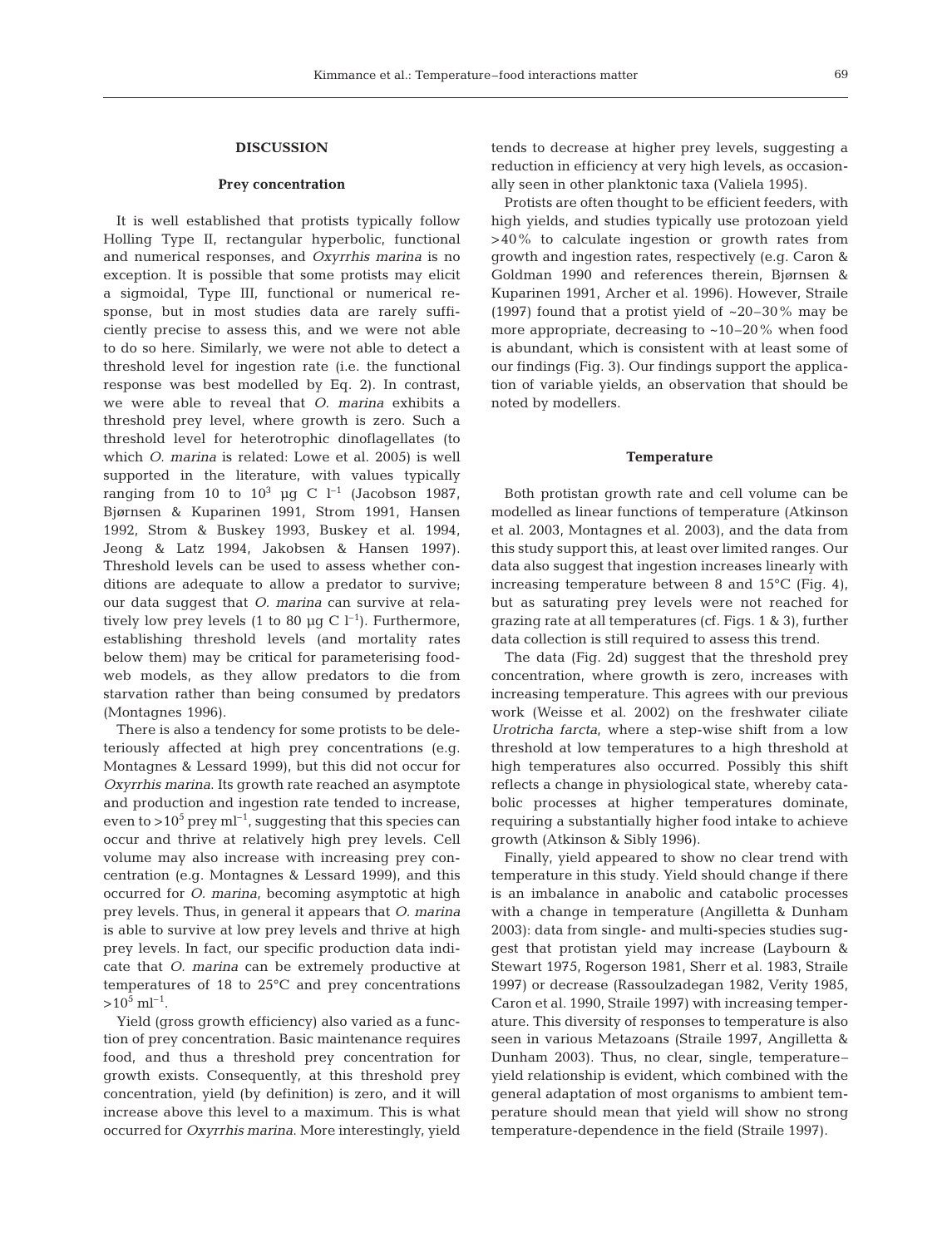#### **DISCUSSION**

#### **Prey concentration**

It is well established that protists typically follow Holling Type II, rectangular hyperbolic, functional and numerical responses, and *Oxyrrhis marina* is no exception. It is possible that some protists may elicit a sigmoidal, Type III, functional or numerical response, but in most studies data are rarely sufficiently precise to assess this, and we were not able to do so here. Similarly, we were not able to detect a threshold level for ingestion rate (i.e. the functional response was best modelled by Eq. 2). In contrast, we were able to reveal that *O. marina* exhibits a threshold prey level, where growth is zero. Such a threshold level for heterotrophic dinoflagellates (to which *O. marina* is related: Lowe et al. 2005) is well supported in the literature, with values typically ranging from 10 to  $10^3$  µg C  $l^{-1}$  (Jacobson 1987, Bjørnsen & Kuparinen 1991, Strom 1991, Hansen 1992, Strom & Buskey 1993, Buskey et al. 1994, Jeong & Latz 1994, Jakobsen & Hansen 1997). Threshold levels can be used to assess whether conditions are adequate to allow a predator to survive; our data suggest that *O. marina* can survive at relatively low prey levels (1 to 80 µg C  $l^{-1}$ ). Furthermore, establishing threshold levels (and mortality rates below them) may be critical for parameterising foodweb models, as they allow predators to die from starvation rather than being consumed by predators (Montagnes 1996).

There is also a tendency for some protists to be deleteriously affected at high prey concentrations (e.g. Montagnes & Lessard 1999), but this did not occur for *Oxyrrhis marina*. Its growth rate reached an asymptote and production and ingestion rate tended to increase, even to  $>10^5$  prey ml<sup>-1</sup>, suggesting that this species can occur and thrive at relatively high prey levels. Cell volume may also increase with increasing prey concentration (e.g. Montagnes & Lessard 1999), and this occurred for *O. marina*, becoming asymptotic at high prey levels. Thus, in general it appears that *O. marina* is able to survive at low prey levels and thrive at high prey levels. In fact, our specific production data indicate that *O. marina* can be extremely productive at temperatures of 18 to 25°C and prey concentrations  $>10^5$  ml<sup>-1</sup>.

Yield (gross growth efficiency) also varied as a function of prey concentration. Basic maintenance requires food, and thus a threshold prey concentration for growth exists. Consequently, at this threshold prey concentration, yield (by definition) is zero, and it will increase above this level to a maximum. This is what occurred for *Oxyrrhis marina*. More interestingly, yield

tends to decrease at higher prey levels, suggesting a reduction in efficiency at very high levels, as occasionally seen in other planktonic taxa (Valiela 1995).

Protists are often thought to be efficient feeders, with high yields, and studies typically use protozoan yield >40% to calculate ingestion or growth rates from growth and ingestion rates, respectively (e.g. Caron & Goldman 1990 and references therein, Bjørnsen & Kuparinen 1991, Archer et al. 1996). However, Straile (1997) found that a protist yield of  $\approx 20-30\%$  may be more appropriate, decreasing to  $~10-20\%$  when food is abundant, which is consistent with at least some of our findings (Fig. 3). Our findings support the application of variable yields, an observation that should be noted by modellers.

#### **Temperature**

Both protistan growth rate and cell volume can be modelled as linear functions of temperature (Atkinson et al. 2003, Montagnes et al. 2003), and the data from this study support this, at least over limited ranges. Our data also suggest that ingestion increases linearly with increasing temperature between 8 and 15°C (Fig. 4), but as saturating prey levels were not reached for grazing rate at all temperatures (cf. Figs. 1 & 3), further data collection is still required to assess this trend.

The data (Fig. 2d) suggest that the threshold prey concentration, where growth is zero, increases with increasing temperature. This agrees with our previous work (Weisse et al. 2002) on the freshwater ciliate *Urotricha farcta*, where a step-wise shift from a low threshold at low temperatures to a high threshold at high temperatures also occurred. Possibly this shift reflects a change in physiological state, whereby catabolic processes at higher temperatures dominate, requiring a substantially higher food intake to achieve growth (Atkinson & Sibly 1996).

Finally, yield appeared to show no clear trend with temperature in this study. Yield should change if there is an imbalance in anabolic and catabolic processes with a change in temperature (Angilletta & Dunham 2003): data from single- and multi-species studies suggest that protistan yield may increase (Laybourn & Stewart 1975, Rogerson 1981, Sherr et al. 1983, Straile 1997) or decrease (Rassoulzadegan 1982, Verity 1985, Caron et al. 1990, Straile 1997) with increasing temperature. This diversity of responses to temperature is also seen in various Metazoans (Straile 1997, Angilletta & Dunham 2003). Thus, no clear, single, temperature– yield relationship is evident, which combined with the general adaptation of most organisms to ambient temperature should mean that yield will show no strong temperature-dependence in the field (Straile 1997).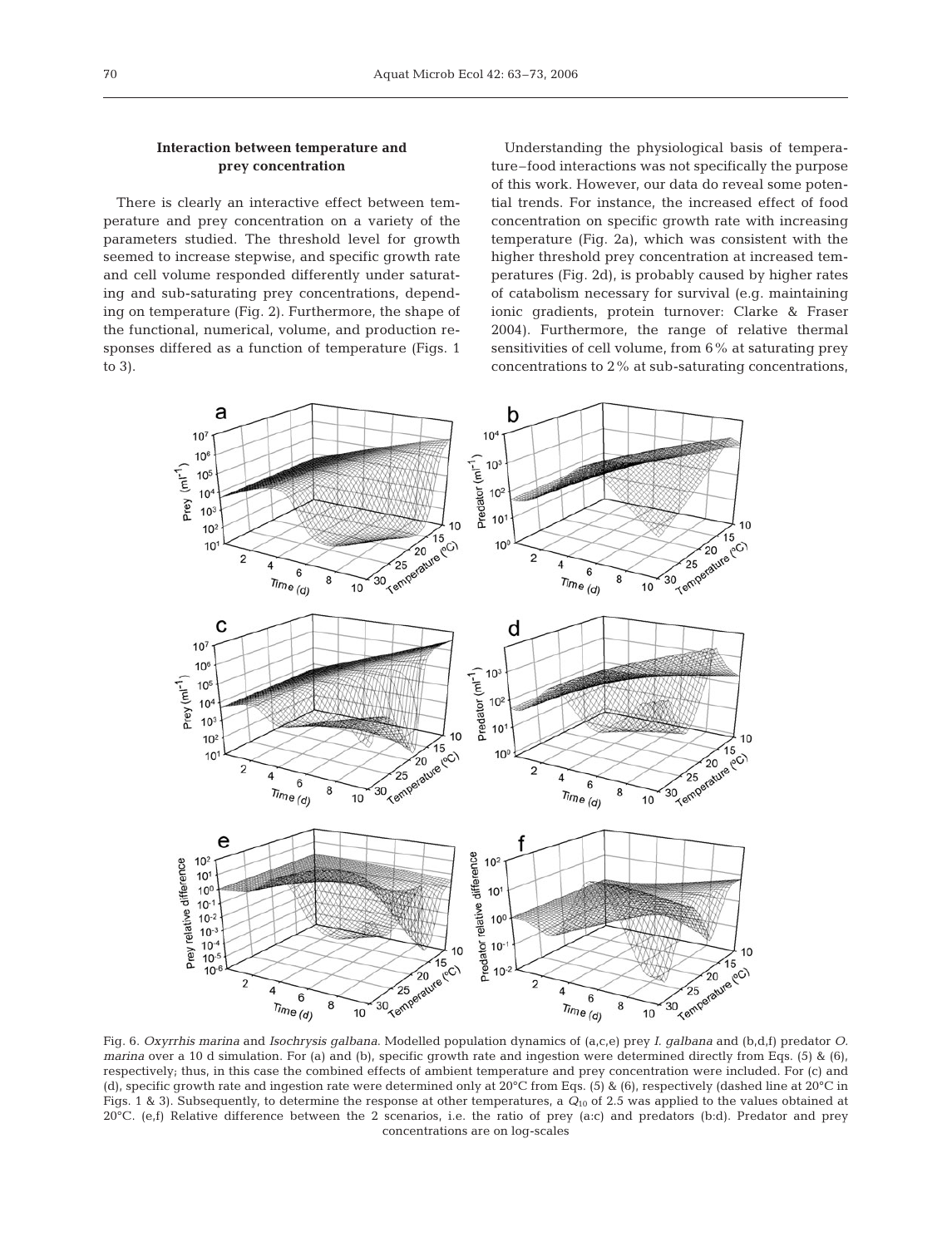# **Interaction between temperature and prey concentration**

There is clearly an interactive effect between temperature and prey concentration on a variety of the parameters studied. The threshold level for growth seemed to increase stepwise, and specific growth rate and cell volume responded differently under saturating and sub-saturating prey concentrations, depending on temperature (Fig. 2). Furthermore, the shape of the functional, numerical, volume, and production responses differed as a function of temperature (Figs. 1 to 3).

Understanding the physiological basis of temperature–food interactions was not specifically the purpose of this work. However, our data do reveal some potential trends. For instance, the increased effect of food concentration on specific growth rate with increasing temperature (Fig. 2a), which was consistent with the higher threshold prey concentration at increased temperatures (Fig. 2d), is probably caused by higher rates of catabolism necessary for survival (e.g. maintaining ionic gradients, protein turnover: Clarke & Fraser 2004). Furthermore, the range of relative thermal sensitivities of cell volume, from 6% at saturating prey concentrations to 2% at sub-saturating concentrations,



Fig. 6. *Oxyrrhis marina* and *Isochrysis galbana*. Modelled population dynamics of (a,c,e) prey *I. galbana* and (b,d,f) predator *O. marina* over a 10 d simulation. For (a) and (b), specific growth rate and ingestion were determined directly from Eqs. (5) & (6), respectively; thus, in this case the combined effects of ambient temperature and prey concentration were included. For (c) and (d), specific growth rate and ingestion rate were determined only at 20°C from Eqs. (5) & (6), respectively (dashed line at 20°C in Figs. 1 & 3). Subsequently, to determine the response at other temperatures, a *Q*<sup>10</sup> of 2.5 was applied to the values obtained at  $20^{\circ}$ C. (e,f) Relative difference between the 2 scenarios, i.e. the ratio of prey (a:c) and predators (b:d). Predator and prey concentrations are on log-scales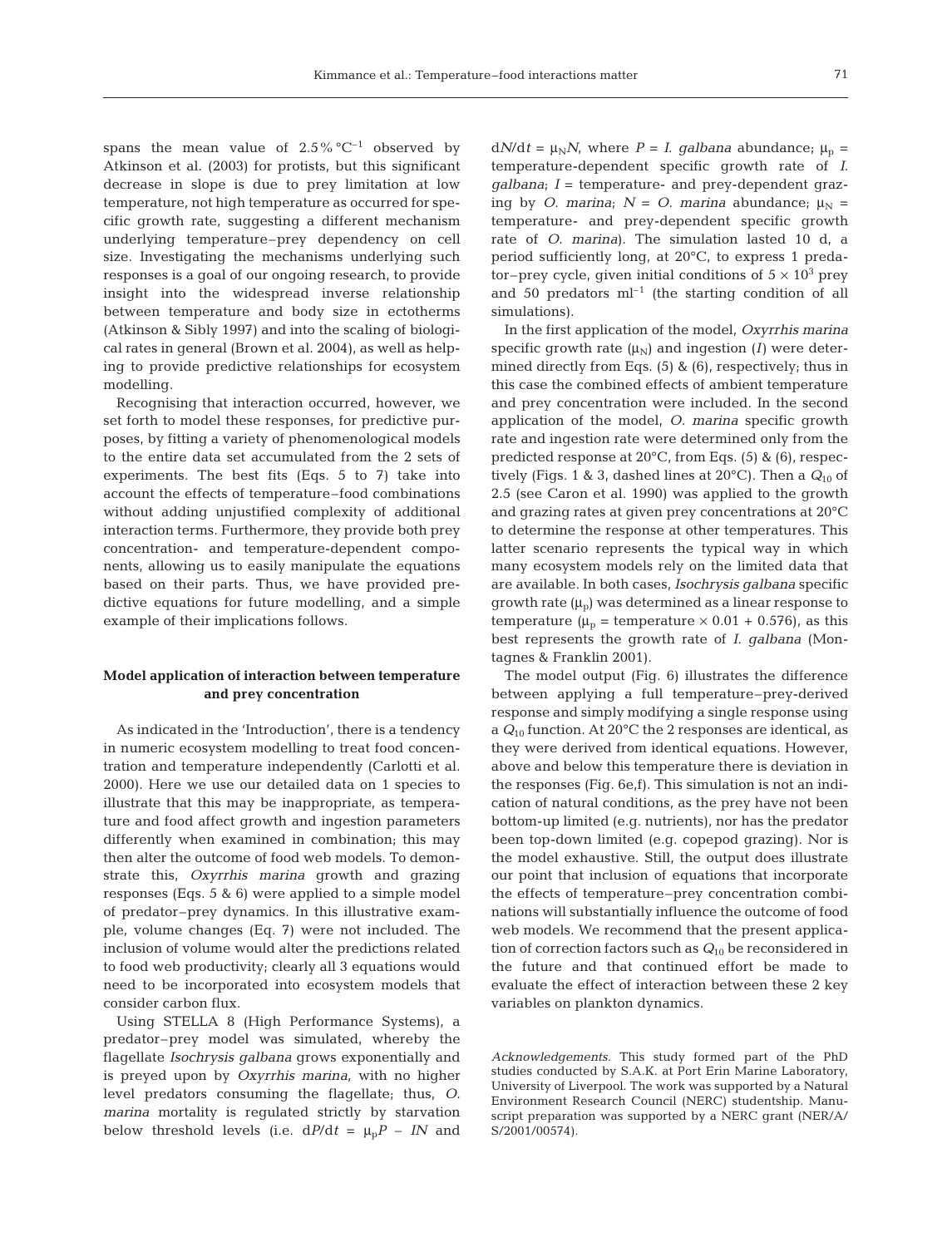spans the mean value of  $2.5\%$  °C<sup>-1</sup> observed by Atkinson et al. (2003) for protists, but this significant decrease in slope is due to prey limitation at low temperature, not high temperature as occurred for specific growth rate, suggesting a different mechanism underlying temperature–prey dependency on cell size. Investigating the mechanisms underlying such responses is a goal of our ongoing research, to provide insight into the widespread inverse relationship between temperature and body size in ectotherms (Atkinson & Sibly 1997) and into the scaling of biological rates in general (Brown et al. 2004), as well as helping to provide predictive relationships for ecosystem modelling.

Recognising that interaction occurred, however, we set forth to model these responses, for predictive purposes, by fitting a variety of phenomenological models to the entire data set accumulated from the 2 sets of experiments. The best fits (Eqs. 5 to 7) take into account the effects of temperature–food combinations without adding unjustified complexity of additional interaction terms. Furthermore, they provide both prey concentration- and temperature-dependent components, allowing us to easily manipulate the equations based on their parts. Thus, we have provided predictive equations for future modelling, and a simple example of their implications follows.

## **Model application of interaction between temperature and prey concentration**

As indicated in the 'Introduction', there is a tendency in numeric ecosystem modelling to treat food concentration and temperature independently (Carlotti et al. 2000). Here we use our detailed data on 1 species to illustrate that this may be inappropriate, as temperature and food affect growth and ingestion parameters differently when examined in combination; this may then alter the outcome of food web models. To demonstrate this, *Oxyrrhis marina* growth and grazing responses (Eqs. 5 & 6) were applied to a simple model of predator–prey dynamics. In this illustrative example, volume changes (Eq. 7) were not included. The inclusion of volume would alter the predictions related to food web productivity; clearly all 3 equations would need to be incorporated into ecosystem models that consider carbon flux.

Using STELLA 8 (High Performance Systems), a predator–prey model was simulated, whereby the flagellate *Isochrysis galbana* grows exponentially and is preyed upon by *Oxyrrhis marina*, with no higher level predators consuming the flagellate; thus, *O. marina* mortality is regulated strictly by starvation below threshold levels (i.e.  $dP/dt = \mu_p P - IN$  and

 $dN/dt = \mu_N N$ , where  $P = I$ . *galbana* abundance;  $\mu_p =$ temperature-dependent specific growth rate of *I. galbana*; *I* = temperature- and prey-dependent grazing by *O. marina*;  $N = O$ . marina abundance;  $\mu_N =$ temperature- and prey-dependent specific growth rate of *O. marina*). The simulation lasted 10 d, a period sufficiently long, at 20°C, to express 1 predator–prey cycle, given initial conditions of  $5 \times 10^3$  prey and 50 predators  $ml^{-1}$  (the starting condition of all simulations).

In the first application of the model, *Oxyrrhis marina* specific growth rate  $(\mu_N)$  and ingestion (*I*) were determined directly from Eqs. (5) & (6), respectively; thus in this case the combined effects of ambient temperature and prey concentration were included. In the second application of the model, *O. marina* specific growth rate and ingestion rate were determined only from the predicted response at 20°C, from Eqs. (5) & (6), respectively (Figs. 1 & 3, dashed lines at  $20^{\circ}$ C). Then a  $Q_{10}$  of 2.5 (see Caron et al. 1990) was applied to the growth and grazing rates at given prey concentrations at 20°C to determine the response at other temperatures. This latter scenario represents the typical way in which many ecosystem models rely on the limited data that are available. In both cases, *Isochrysis galbana* specific growth rate  $(\mu_{\rm p})$  was determined as a linear response to temperature ( $\mu_p$  = temperature  $\times$  0.01 + 0.576), as this best represents the growth rate of *I. galbana* (Montagnes & Franklin 2001).

The model output (Fig. 6) illustrates the difference between applying a full temperature–prey-derived response and simply modifying a single response using a *Q*<sup>10</sup> function. At 20°C the 2 responses are identical, as they were derived from identical equations. However, above and below this temperature there is deviation in the responses (Fig. 6e,f). This simulation is not an indication of natural conditions, as the prey have not been bottom-up limited (e.g. nutrients), nor has the predator been top-down limited (e.g. copepod grazing). Nor is the model exhaustive. Still, the output does illustrate our point that inclusion of equations that incorporate the effects of temperature–prey concentration combinations will substantially influence the outcome of food web models. We recommend that the present application of correction factors such as *Q*<sup>10</sup> be reconsidered in the future and that continued effort be made to evaluate the effect of interaction between these 2 key variables on plankton dynamics.

*Acknowledgements.* This study formed part of the PhD studies conducted by S.A.K. at Port Erin Marine Laboratory, University of Liverpool. The work was supported by a Natural Environment Research Council (NERC) studentship. Manuscript preparation was supported by a NERC grant (NER/A/ S/2001/00574).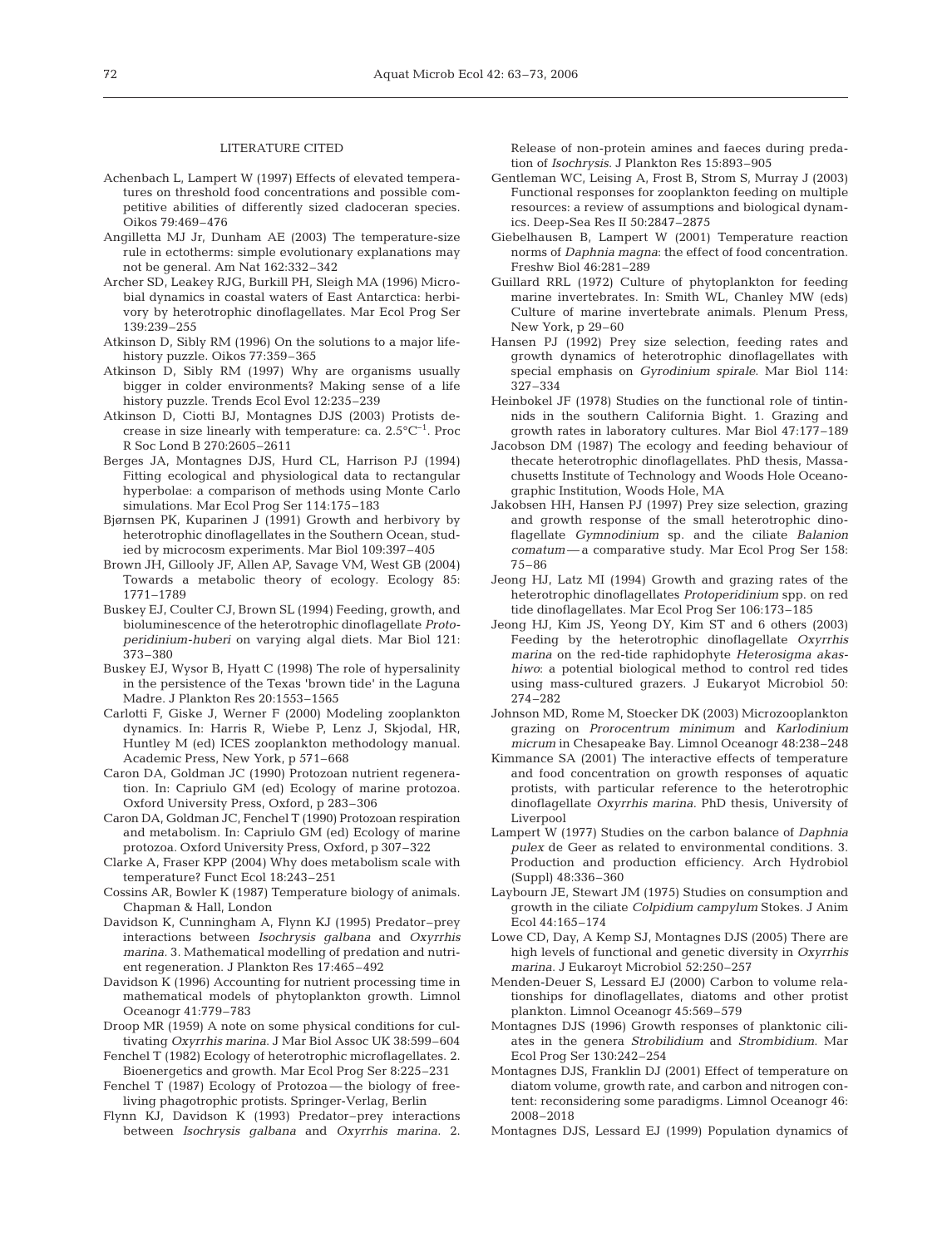#### LITERATURE CITED

- Achenbach L, Lampert W (1997) Effects of elevated temperatures on threshold food concentrations and possible competitive abilities of differently sized cladoceran species. Oikos 79:469–476
- Angilletta MJ Jr, Dunham AE (2003) The temperature-size rule in ectotherms: simple evolutionary explanations may not be general. Am Nat 162:332–342
- Archer SD, Leakey RJG, Burkill PH, Sleigh MA (1996) Microbial dynamics in coastal waters of East Antarctica: herbivory by heterotrophic dinoflagellates. Mar Ecol Prog Ser 139:239–255
- Atkinson D, Sibly RM (1996) On the solutions to a major lifehistory puzzle. Oikos 77:359–365
- Atkinson D, Sibly RM (1997) Why are organisms usually bigger in colder environments? Making sense of a life history puzzle. Trends Ecol Evol 12:235–239
- Atkinson D, Ciotti BJ, Montagnes DJS (2003) Protists decrease in size linearly with temperature: ca.  $2.5^{\circ}C^{-1}$ . Proc R Soc Lond B 270:2605–2611
- Berges JA, Montagnes DJS, Hurd CL, Harrison PJ (1994) Fitting ecological and physiological data to rectangular hyperbolae: a comparison of methods using Monte Carlo simulations. Mar Ecol Prog Ser 114:175–183
- Bjørnsen PK, Kuparinen J (1991) Growth and herbivory by heterotrophic dinoflagellates in the Southern Ocean, studied by microcosm experiments. Mar Biol 109:397–405
- Brown JH, Gillooly JF, Allen AP, Savage VM, West GB (2004) Towards a metabolic theory of ecology. Ecology 85: 1771–1789
- Buskey EJ, Coulter CJ, Brown SL (1994) Feeding, growth, and bioluminescence of the heterotrophic dinoflagellate *Protoperidinium-huberi* on varying algal diets. Mar Biol 121: 373–380
- Buskey EJ, Wysor B, Hyatt C (1998) The role of hypersalinity in the persistence of the Texas 'brown tide' in the Laguna Madre. J Plankton Res 20:1553–1565
- Carlotti F, Giske J, Werner F (2000) Modeling zooplankton dynamics. In: Harris R, Wiebe P, Lenz J, Skjodal, HR, Huntley M (ed) ICES zooplankton methodology manual. Academic Press, New York, p 571–668
- Caron DA, Goldman JC (1990) Protozoan nutrient regeneration. In: Capriulo GM (ed) Ecology of marine protozoa. Oxford University Press, Oxford, p 283–306
- Caron DA, Goldman JC, Fenchel T (1990) Protozoan respiration and metabolism. In: Capriulo GM (ed) Ecology of marine protozoa. Oxford University Press, Oxford, p 307–322
- Clarke A, Fraser KPP (2004) Why does metabolism scale with temperature? Funct Ecol 18:243–251
- Cossins AR, Bowler K (1987) Temperature biology of animals. Chapman & Hall, London
- Davidson K, Cunningham A, Flynn KJ (1995) Predator–prey interactions between *Isochrysis galbana* and *Oxyrrhis marina.* 3. Mathematical modelling of predation and nutrient regeneration. J Plankton Res 17:465–492
- Davidson K (1996) Accounting for nutrient processing time in mathematical models of phytoplankton growth. Limnol Oceanogr 41:779–783
- Droop MR (1959) A note on some physical conditions for cultivating *Oxyrrhis marina*. J Mar Biol Assoc UK 38:599–604
- Fenchel T (1982) Ecology of heterotrophic microflagellates. 2. Bioenergetics and growth. Mar Ecol Prog Ser 8:225–231
- Fenchel T (1987) Ecology of Protozoa the biology of freeliving phagotrophic protists. Springer-Verlag, Berlin
- Flynn KJ, Davidson K (1993) Predator–prey interactions between *Isochrysis galbana* and *Oxyrrhis marina*. 2.

Release of non-protein amines and faeces during predation of *Isochrysis*. J Plankton Res 15:893–905

- Gentleman WC, Leising A, Frost B, Strom S, Murray J (2003) Functional responses for zooplankton feeding on multiple resources: a review of assumptions and biological dynamics. Deep-Sea Res II 50:2847–2875
- Giebelhausen B, Lampert W (2001) Temperature reaction norms of *Daphnia magna*: the effect of food concentration. Freshw Biol 46:281–289
- Guillard RRL (1972) Culture of phytoplankton for feeding marine invertebrates. In: Smith WL, Chanley MW (eds) Culture of marine invertebrate animals. Plenum Press, New York, p 29–60
- Hansen PJ (1992) Prey size selection, feeding rates and growth dynamics of heterotrophic dinoflagellates with special emphasis on *Gyrodinium spirale*. Mar Biol 114: 327–334
- Heinbokel JF (1978) Studies on the functional role of tintinnids in the southern California Bight. 1. Grazing and growth rates in laboratory cultures. Mar Biol 47:177–189
- Jacobson DM (1987) The ecology and feeding behaviour of thecate heterotrophic dinoflagellates. PhD thesis, Massachusetts Institute of Technology and Woods Hole Oceanographic Institution, Woods Hole, MA
- Jakobsen HH, Hansen PJ (1997) Prey size selection, grazing and growth response of the small heterotrophic dinoflagellate *Gymnodinium* sp. and the ciliate *Balanion comatum* — a comparative study. Mar Ecol Prog Ser 158: 75–86
- Jeong HJ, Latz MI (1994) Growth and grazing rates of the heterotrophic dinoflagellates *Protoperidinium* spp. on red tide dinoflagellates. Mar Ecol Prog Ser 106:173–185
- Jeong HJ, Kim JS, Yeong DY, Kim ST and 6 others (2003) Feeding by the heterotrophic dinoflagellate *Oxyrrhis marina* on the red-tide raphidophyte *Heterosigma akashiwo*: a potential biological method to control red tides using mass-cultured grazers. J Eukaryot Microbiol 50: 274–282
- Johnson MD, Rome M, Stoecker DK (2003) Microzooplankton grazing on *Prorocentrum minimum* and *Karlodinium micrum* in Chesapeake Bay. Limnol Oceanogr 48:238–248
- Kimmance SA (2001) The interactive effects of temperature and food concentration on growth responses of aquatic protists, with particular reference to the heterotrophic dinoflagellate *Oxyrrhis marina*. PhD thesis, University of Liverpool
- Lampert W (1977) Studies on the carbon balance of *Daphnia pulex* de Geer as related to environmental conditions. 3. Production and production efficiency. Arch Hydrobiol (Suppl) 48:336–360
- Laybourn JE, Stewart JM (1975) Studies on consumption and growth in the ciliate *Colpidium campylum* Stokes. J Anim Ecol 44:165–174
- Lowe CD, Day, A Kemp SJ, Montagnes DJS (2005) There are high levels of functional and genetic diversity in *Oxyrrhis marina*. J Eukaroyt Microbiol 52:250–257
- Menden-Deuer S, Lessard EJ (2000) Carbon to volume relationships for dinoflagellates, diatoms and other protist plankton. Limnol Oceanogr 45:569–579
- Montagnes DJS (1996) Growth responses of planktonic ciliates in the genera *Strobilidium* and *Strombidium*. Mar Ecol Prog Ser 130:242–254
- Montagnes DJS, Franklin DJ (2001) Effect of temperature on diatom volume, growth rate, and carbon and nitrogen content: reconsidering some paradigms. Limnol Oceanogr 46: 2008–2018
- Montagnes DJS, Lessard EJ (1999) Population dynamics of